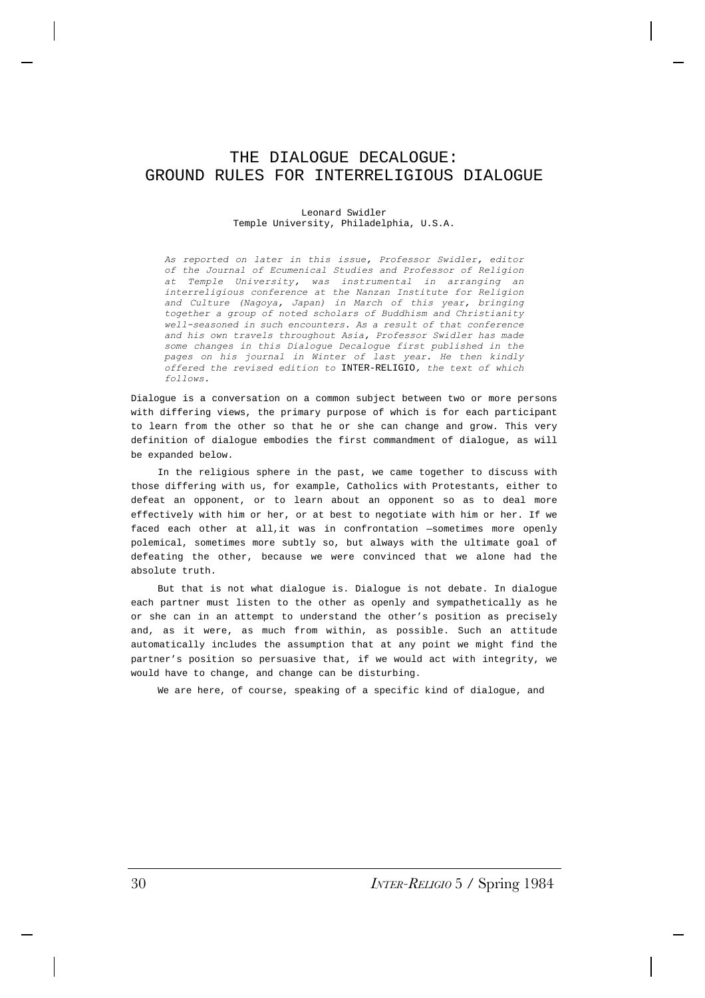## THE DIALOGUE DECALOGUE: GROUND RULES FOR INTERRELIGIOUS DIALOGUE

## Leonard Swidler Temple University, Philadelphia, U.S.A.

*As reported on later in this issue, Professor Swidler, editor of the Journal of Ecumenical Studies and Professor of Religion at Temple University, was instrumental in arranging an interreligious conference at the Nanzan Institute for Religion and Culture (Nagoya, Japan) in March of this year, bringing together a group of noted scholars of Buddhism and Christianity well-seasoned in such encounters. As a result of that conference and his own travels throughout Asia, Professor Swidler has made some changes in this Dialogue Decalogue first published in the pages on his journal in Winter of last year. He then kindly offered the revised edition to* INTER-RELIGIO*, the text of which follows.*

Dialogue is a conversation on a common subject between two or more persons with differing views, the primary purpose of which is for each participant to learn from the other so that he or she can change and grow. This very definition of dialogue embodies the first commandment of dialogue, as will be expanded below.

In the religious sphere in the past, we came together to discuss with those differing with us, for example, Catholics with Protestants, either to defeat an opponent, or to learn about an opponent so as to deal more effectively with him or her, or at best to negotiate with him or her. If we faced each other at all,it was in confrontation —sometimes more openly polemical, sometimes more subtly so, but always with the ultimate goal of defeating the other, because we were convinced that we alone had the absolute truth.

But that is not what dialogue is. Dialogue is not debate. In dialogue each partner must listen to the other as openly and sympathetically as he or she can in an attempt to understand the other's position as precisely and, as it were, as much from within, as possible. Such an attitude automatically includes the assumption that at any point we might find the partner's position so persuasive that, if we would act with integrity, we would have to change, and change can be disturbing.

We are here, of course, speaking of a specific kind of dialogue, and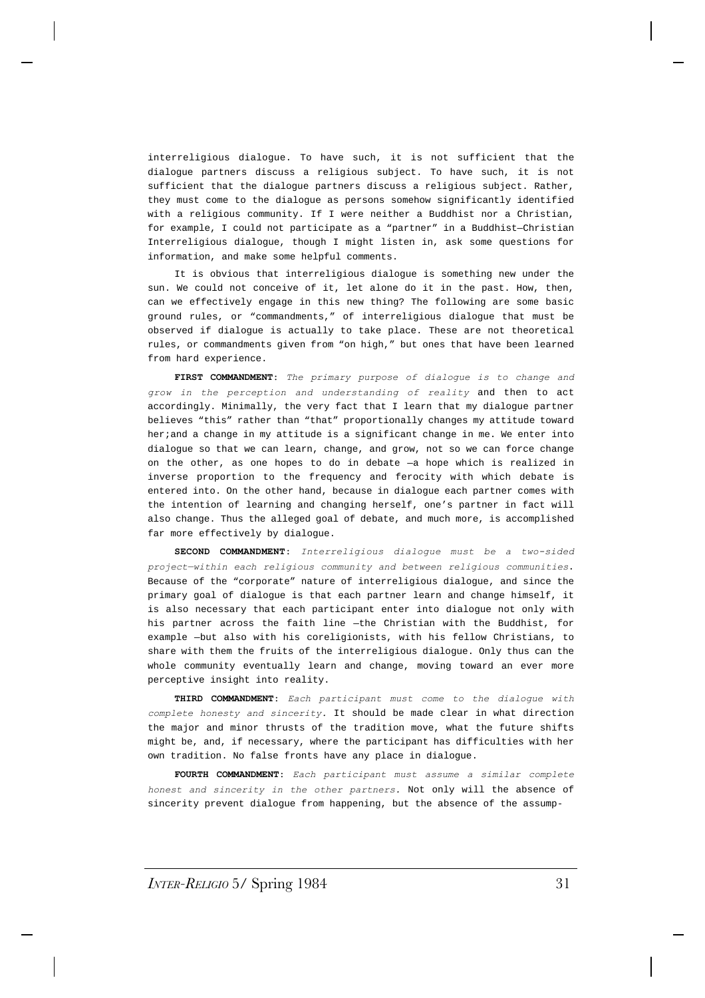interreligious dialogue. To have such, it is not sufficient that the dialogue partners discuss a religious subject. To have such, it is not sufficient that the dialogue partners discuss a religious subject. Rather, they must come to the dialogue as persons somehow significantly identified with a religious community. If I were neither a Buddhist nor a Christian, for example, I could not participate as a "partner" in a Buddhist—Christian Interreligious dialogue, though I might listen in, ask some questions for information, and make some helpful comments.

It is obvious that interreligious dialogue is something new under the sun. We could not conceive of it, let alone do it in the past. How, then, can we effectively engage in this new thing? The following are some basic ground rules, or "commandments," of interreligious dialogue that must be observed if dialogue is actually to take place. These are not theoretical rules, or commandments given from "on high," but ones that have been learned from hard experience.

**FIRST COMMANDMENT:** *The primary purpose of dialogue is to change and grow in the perception and understanding of reality* and then to act accordingly. Minimally, the very fact that I learn that my dialogue partner believes "this" rather than "that" proportionally changes my attitude toward her;and a change in my attitude is a significant change in me. We enter into dialogue so that we can learn, change, and grow, not so we can force change on the other, as one hopes to do in debate —a hope which is realized in inverse proportion to the frequency and ferocity with which debate is entered into. On the other hand, because in dialogue each partner comes with the intention of learning and changing herself, one's partner in fact will also change. Thus the alleged goal of debate, and much more, is accomplished far more effectively by dialogue.

**SECOND COMMANDMENT:** *Interreligious dialogue must be a two-sided project—within each religious community and between religious communities*. Because of the "corporate" nature of interreligious dialogue, and since the primary goal of dialogue is that each partner learn and change himself, it is also necessary that each participant enter into dialogue not only with his partner across the faith line —the Christian with the Buddhist, for example —but also with his coreligionists, with his fellow Christians, to share with them the fruits of the interreligious dialogue. Only thus can the whole community eventually learn and change, moving toward an ever more perceptive insight into reality.

**THIRD COMMANDMENT:** *Each participant must come to the dialogue with complete honesty and sincerity.* It should be made clear in what direction the major and minor thrusts of the tradition move, what the future shifts might be, and, if necessary, where the participant has difficulties with her own tradition. No false fronts have any place in dialogue.

**FOURTH COMMANDMENT:** *Each participant must assume a similar complete honest and sincerity in the other partners.* Not only will the absence of sincerity prevent dialogue from happening, but the absence of the assump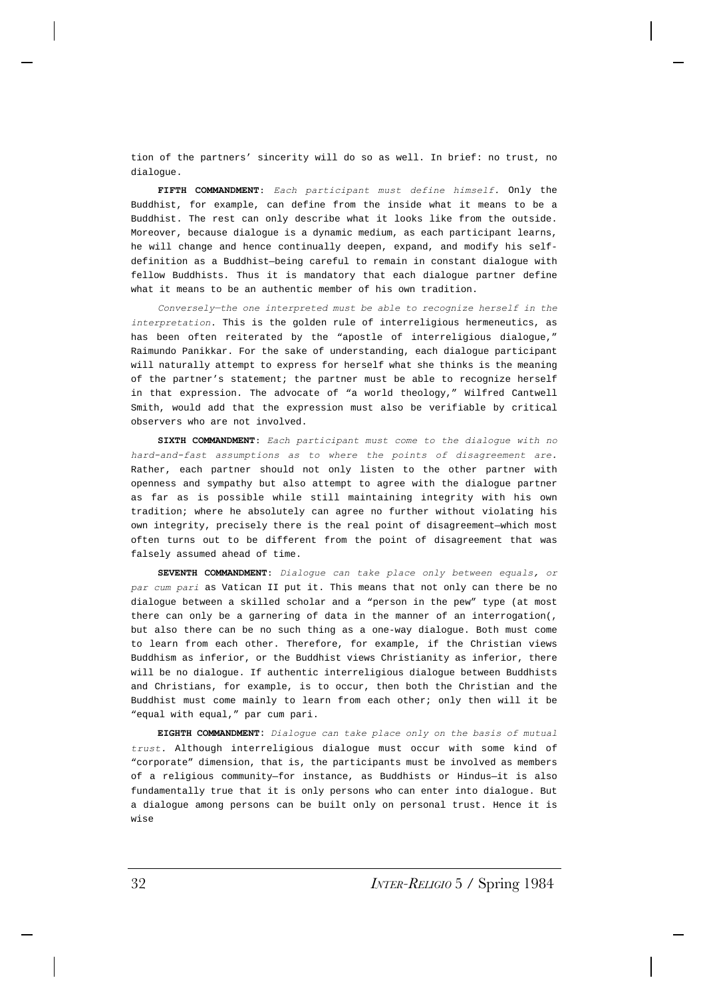tion of the partners' sincerity will do so as well. In brief: no trust, no dialogue.

**FIFTH COMMANDMENT:** *Each participant must define himself.* Only the Buddhist, for example, can define from the inside what it means to be a Buddhist. The rest can only describe what it looks like from the outside. Moreover, because dialogue is a dynamic medium, as each participant learns, he will change and hence continually deepen, expand, and modify his selfdefinition as a Buddhist—being careful to remain in constant dialogue with fellow Buddhists. Thus it is mandatory that each dialogue partner define what it means to be an authentic member of his own tradition.

*Conversely—the one interpreted must be able to recognize herself in the interpretation.* This is the golden rule of interreligious hermeneutics, as has been often reiterated by the "apostle of interreligious dialogue," Raimundo Panikkar. For the sake of understanding, each dialogue participant will naturally attempt to express for herself what she thinks is the meaning of the partner's statement; the partner must be able to recognize herself in that expression. The advocate of "a world theology," Wilfred Cantwell Smith, would add that the expression must also be verifiable by critical observers who are not involved.

**SIXTH COMMANDMENT:** *Each participant must come to the dialogue with no hard-and-fast assumptions as to where the points of disagreement are.* Rather, each partner should not only listen to the other partner with openness and sympathy but also attempt to agree with the dialogue partner as far as is possible while still maintaining integrity with his own tradition; where he absolutely can agree no further without violating his own integrity, precisely there is the real point of disagreement—which most often turns out to be different from the point of disagreement that was falsely assumed ahead of time.

**SEVENTH COMMANDMENT:** *Dialogue can take place only between equals, or par cum pari* as Vatican II put it. This means that not only can there be no dialogue between a skilled scholar and a "person in the pew" type (at most there can only be a garnering of data in the manner of an interrogation(, but also there can be no such thing as a one-way dialogue. Both must come to learn from each other. Therefore, for example, if the Christian views Buddhism as inferior, or the Buddhist views Christianity as inferior, there will be no dialogue. If authentic interreligious dialogue between Buddhists and Christians, for example, is to occur, then both the Christian and the Buddhist must come mainly to learn from each other; only then will it be "equal with equal," par cum pari.

**EIGHTH COMMANDMENT**: *Dialogue can take place only on the basis of mutual trust.* Although interreligious dialogue must occur with some kind of "corporate" dimension, that is, the participants must be involved as members of a religious community—for instance, as Buddhists or Hindus—it is also fundamentally true that it is only persons who can enter into dialogue. But a dialogue among persons can be built only on personal trust. Hence it is wise